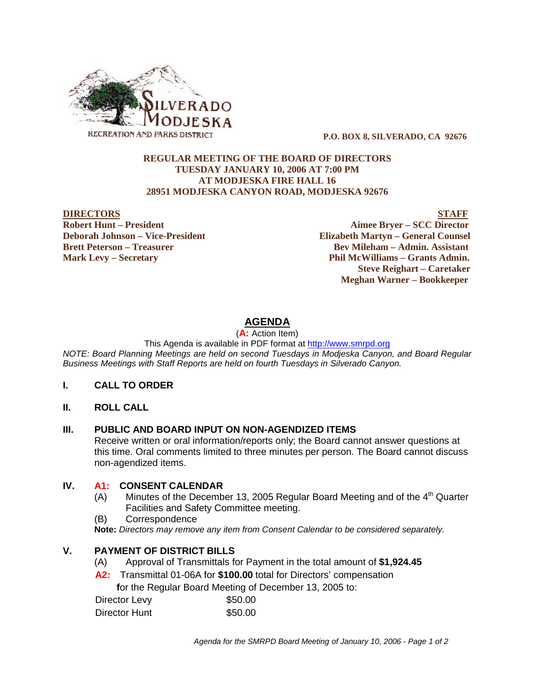

 **P.O. BOX 8, SILVERADO, CA 92676**

#### **REGULAR MEETING OF THE BOARD OF DIRECTORS TUESDAY JANUARY 10, 2006 AT 7:00 PM AT MODJESKA FIRE HALL 16 28951 MODJESKA CANYON ROAD, MODJESKA 92676**

**DIRECTORS STAFF Robert Hunt – President Aimee Bryer – SCC Director Deborah Johnson – Vice-President Elizabeth Martyn – General Counsel Brett Peterson – Treasurer Serverson – Bev Mileham – Admin. Assistant Mark Levy – Secretary Phil McWilliams – Grants Admin. Steve Reighart – Caretaker Meghan Warner – Bookkeeper**

# **AGENDA**

(**A:** Action Item)

This Agenda is available in PDF format at http://www.smrpd.org

*NOTE: Board Planning Meetings are held on second Tuesdays in Modjeska Canyon, and Board Regular Business Meetings with Staff Reports are held on fourth Tuesdays in Silverado Canyon.*

## **I. CALL TO ORDER**

**II. ROLL CALL**

## **III. PUBLIC AND BOARD INPUT ON NON-AGENDIZED ITEMS**

Receive written or oral information/reports only; the Board cannot answer questions at this time. Oral comments limited to three minutes per person. The Board cannot discuss non-agendized items.

## **IV. A1:CONSENT CALENDAR**

- (A) Minutes of the December 13, 2005 Regular Board Meeting and of the  $4<sup>th</sup>$  Quarter Facilities and Safety Committee meeting.
- (B) Correspondence

**Note:** *Directors may remove any item from Consent Calendar to be considered separately.*

## **V. PAYMENT OF DISTRICT BILLS**

- (A) Approval of Transmittals for Payment in the total amount of **\$1,924.45**
- **A2:**Transmittal 01-06A for **\$100.00** total for Directors' compensation

 **f**or the Regular Board Meeting of December 13, 2005 to:

Director Levy \$50.00 Director Hunt \$50.00